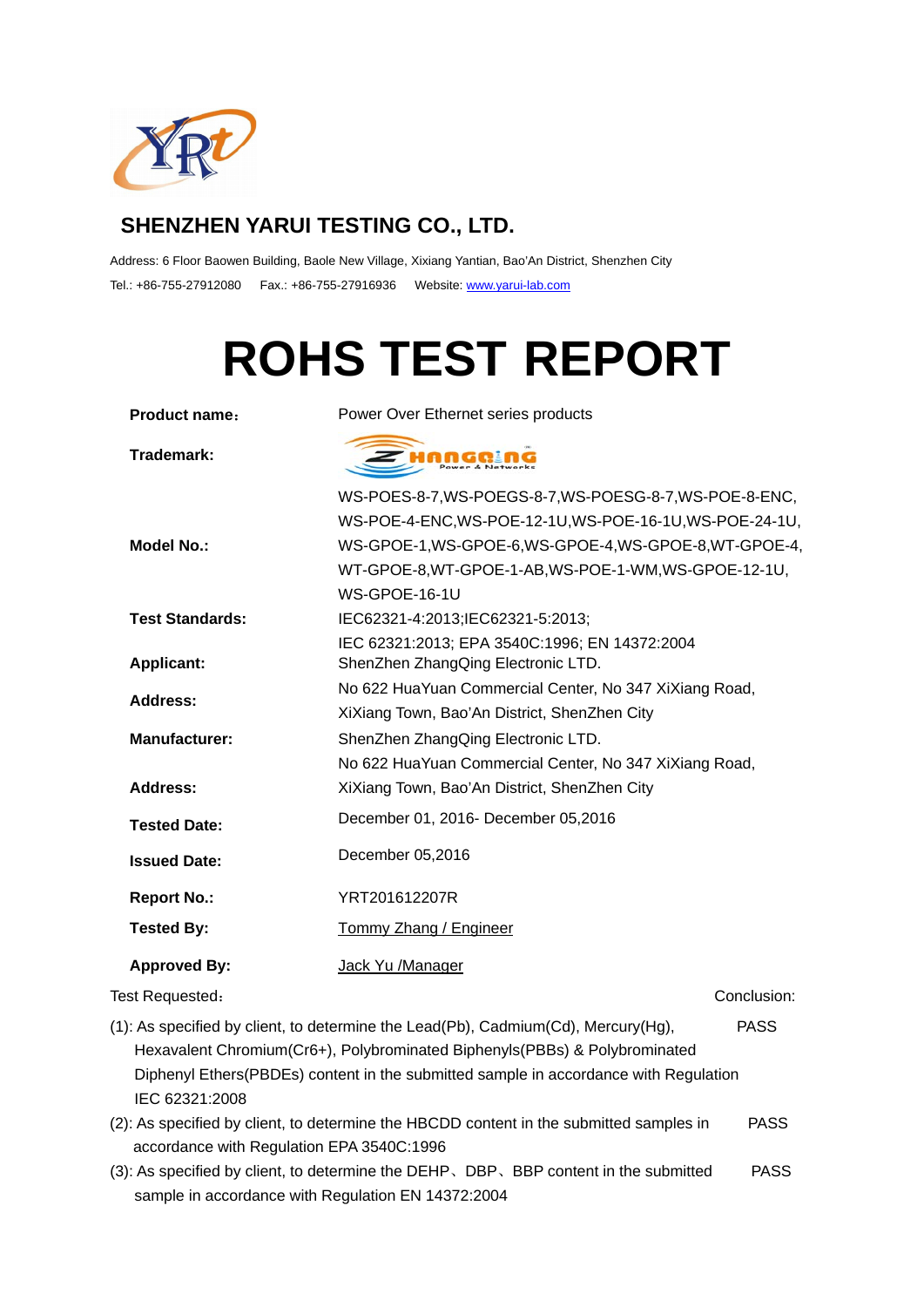

# **SHENZHEN YARUI TESTING CO., LTD.**

Address: 6 Floor Baowen Building, Baole New Village, Xixiang Yantian, Bao'An District, Shenzhen City Tel.: +86-755-27912080 Fax.: +86-755-27916936 Website: www.yarui-lab.com

# **ROHS TEST REPORT**

| <b>Product name:</b>   | Power Over Ethernet series products                     |  |  |  |
|------------------------|---------------------------------------------------------|--|--|--|
| Trademark:             |                                                         |  |  |  |
|                        | WS-POES-8-7, WS-POEGS-8-7, WS-POESG-8-7, WS-POE-8-ENC,  |  |  |  |
|                        | WS-POE-4-ENC, WS-POE-12-1U, WS-POE-16-1U, WS-POE-24-1U, |  |  |  |
| <b>Model No.:</b>      | WS-GPOE-1, WS-GPOE-6, WS-GPOE-4, WS-GPOE-8, WT-GPOE-4,  |  |  |  |
|                        | WT-GPOE-8, WT-GPOE-1-AB, WS-POE-1-WM, WS-GPOE-12-1U,    |  |  |  |
|                        | WS-GPOE-16-1U                                           |  |  |  |
| <b>Test Standards:</b> | IEC62321-4:2013;IEC62321-5:2013;                        |  |  |  |
|                        | IEC 62321:2013; EPA 3540C:1996; EN 14372:2004           |  |  |  |
| <b>Applicant:</b>      | ShenZhen ZhangQing Electronic LTD.                      |  |  |  |
| Address:               | No 622 HuaYuan Commercial Center, No 347 XiXiang Road,  |  |  |  |
|                        | XiXiang Town, Bao'An District, ShenZhen City            |  |  |  |
| <b>Manufacturer:</b>   | ShenZhen ZhangQing Electronic LTD.                      |  |  |  |
|                        | No 622 HuaYuan Commercial Center, No 347 XiXiang Road,  |  |  |  |
| <b>Address:</b>        | XiXiang Town, Bao'An District, ShenZhen City            |  |  |  |
| <b>Tested Date:</b>    | December 01, 2016- December 05,2016                     |  |  |  |
| <b>Issued Date:</b>    | December 05,2016                                        |  |  |  |
| <b>Report No.:</b>     | YRT201612207R                                           |  |  |  |
| <b>Tested By:</b>      | Tommy Zhang / Engineer                                  |  |  |  |
| <b>Approved By:</b>    | Jack Yu /Manager                                        |  |  |  |
| Test Requested:        | Conclusion:                                             |  |  |  |
|                        |                                                         |  |  |  |

- (1): As specified by client, to determine the Lead(Pb), Cadmium(Cd), Mercury(Hg), PASS Hexavalent Chromium(Cr6+), Polybrominated Biphenyls(PBBs) & Polybrominated Diphenyl Ethers(PBDEs) content in the submitted sample in accordance with Regulation IEC 62321:2008
- (2): As specified by client, to determine the HBCDD content in the submitted samples in PASS accordance with Regulation EPA 3540C:1996
- (3): As specified by client, to determine the DEHP、DBP、BBP content in the submitted PASS sample in accordance with Regulation EN 14372:2004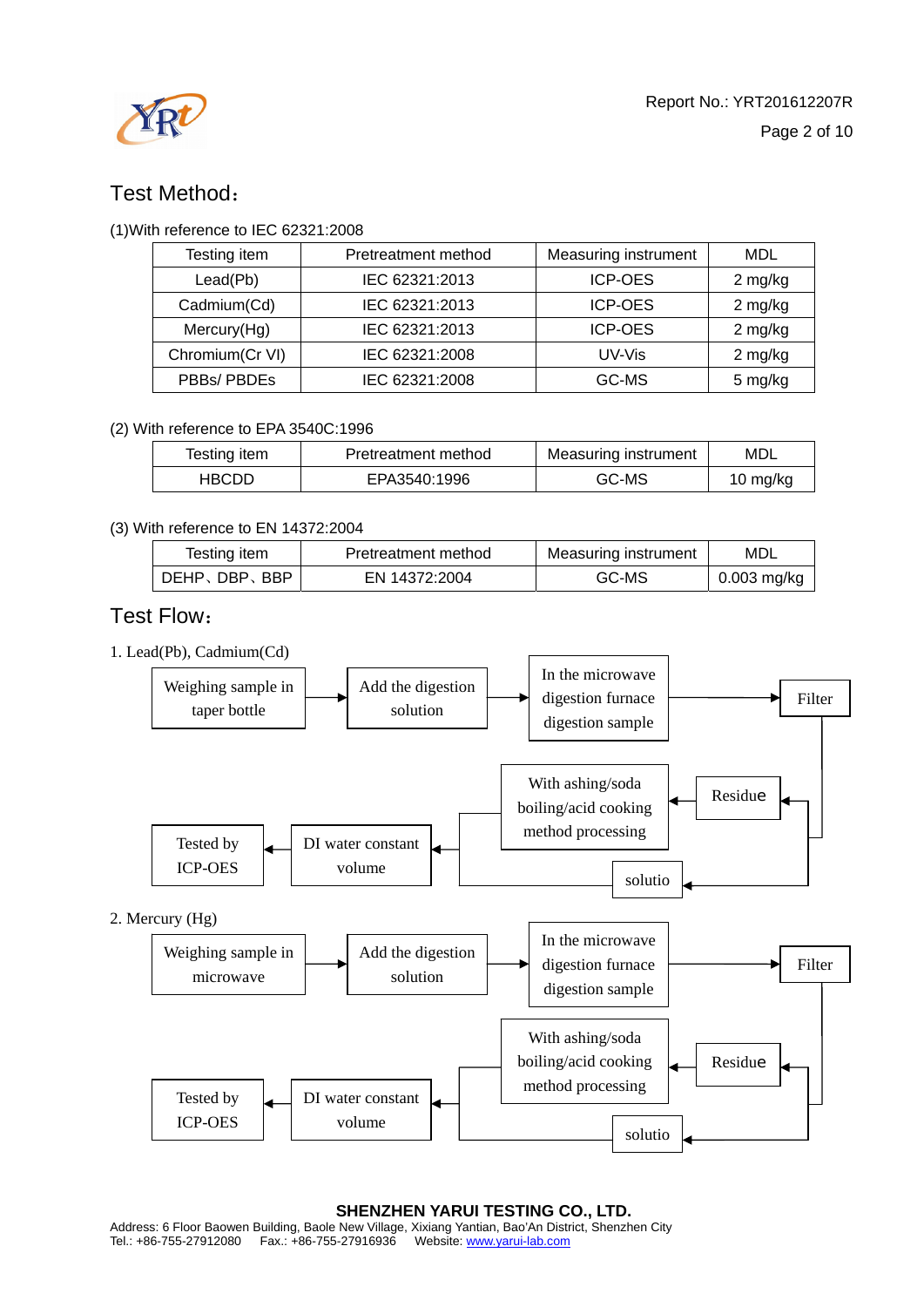

## Test Method:

#### (1)With reference to IEC 62321:2008

| Testing item    | Pretreatment method | Measuring instrument | MDL     |
|-----------------|---------------------|----------------------|---------|
| Lead(Pb)        | IEC 62321:2013      | <b>ICP-OES</b>       | 2 mg/kg |
| Cadmium(Cd)     | IEC 62321:2013      | <b>ICP-OES</b>       | 2 mg/kg |
| Mercury(Hg)     | IEC 62321:2013      | <b>ICP-OES</b>       | 2 mg/kg |
| Chromium(Cr VI) | IEC 62321:2008      | UV-Vis               | 2 mg/kg |
| PBBs/PBDEs      | IEC 62321:2008      | GC-MS                | 5 mg/kg |

#### (2) With reference to EPA 3540C:1996

| Testing item | Pretreatment method | Measuring instrument | MDL      |
|--------------|---------------------|----------------------|----------|
| HBCDD        | EPA3540:1996        | GC-MS                | 10 mg/kg |

#### (3) With reference to EN 14372:2004

| Testing item | Pretreatment method | Measuring instrument | MDL           |
|--------------|---------------------|----------------------|---------------|
| DEHP、DBP、BBP | EN 14372:2004       | GC-MS                | $0.003$ mg/kg |

### Test Flow:

1. Lead(Pb), Cadmium(Cd)



#### **SHENZHEN YARUI TESTING CO., LTD.**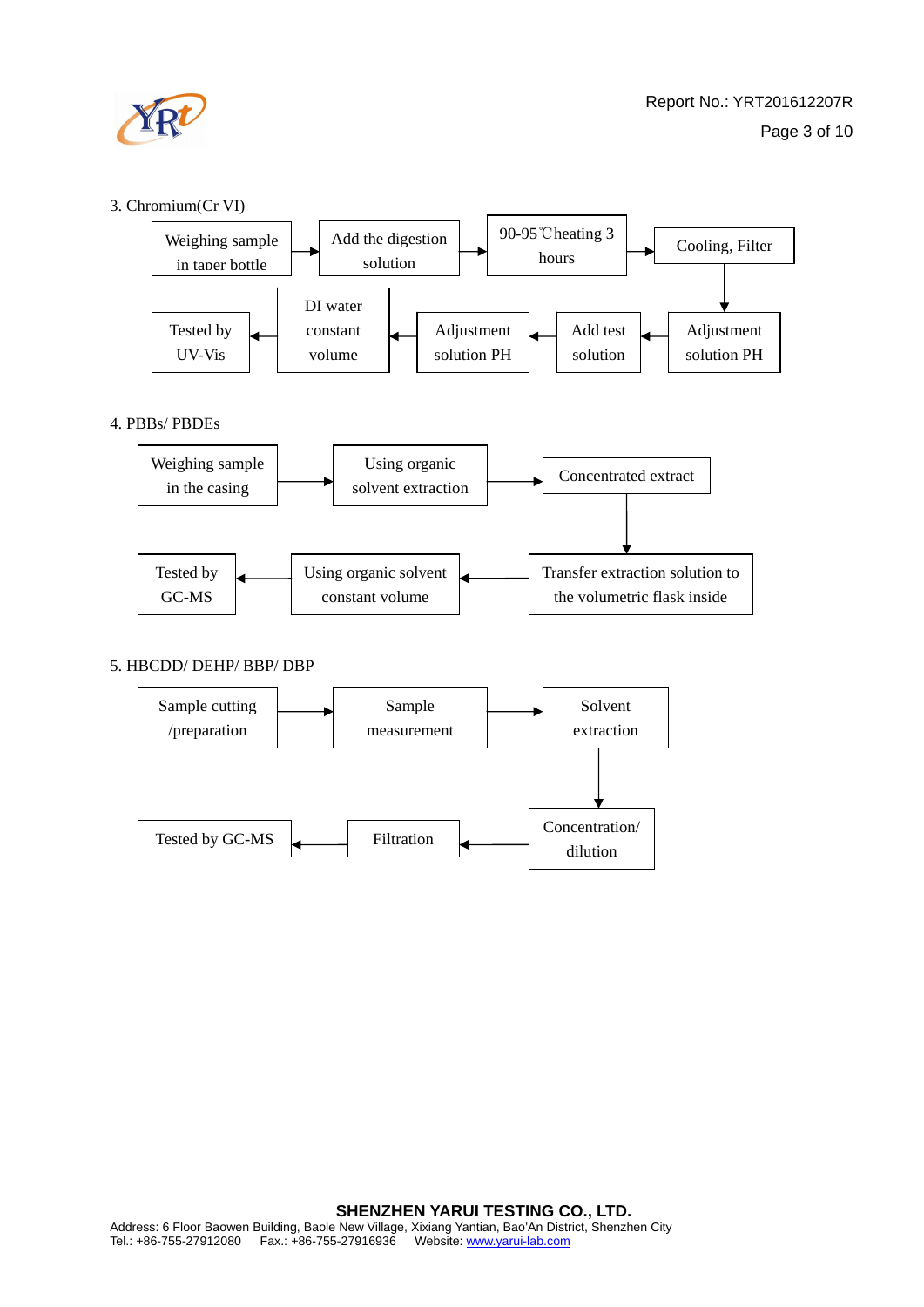

#### 3. Chromium(Cr VI)



#### 4. PBBs/ PBDEs



#### 5. HBCDD/ DEHP/ BBP/ DBP

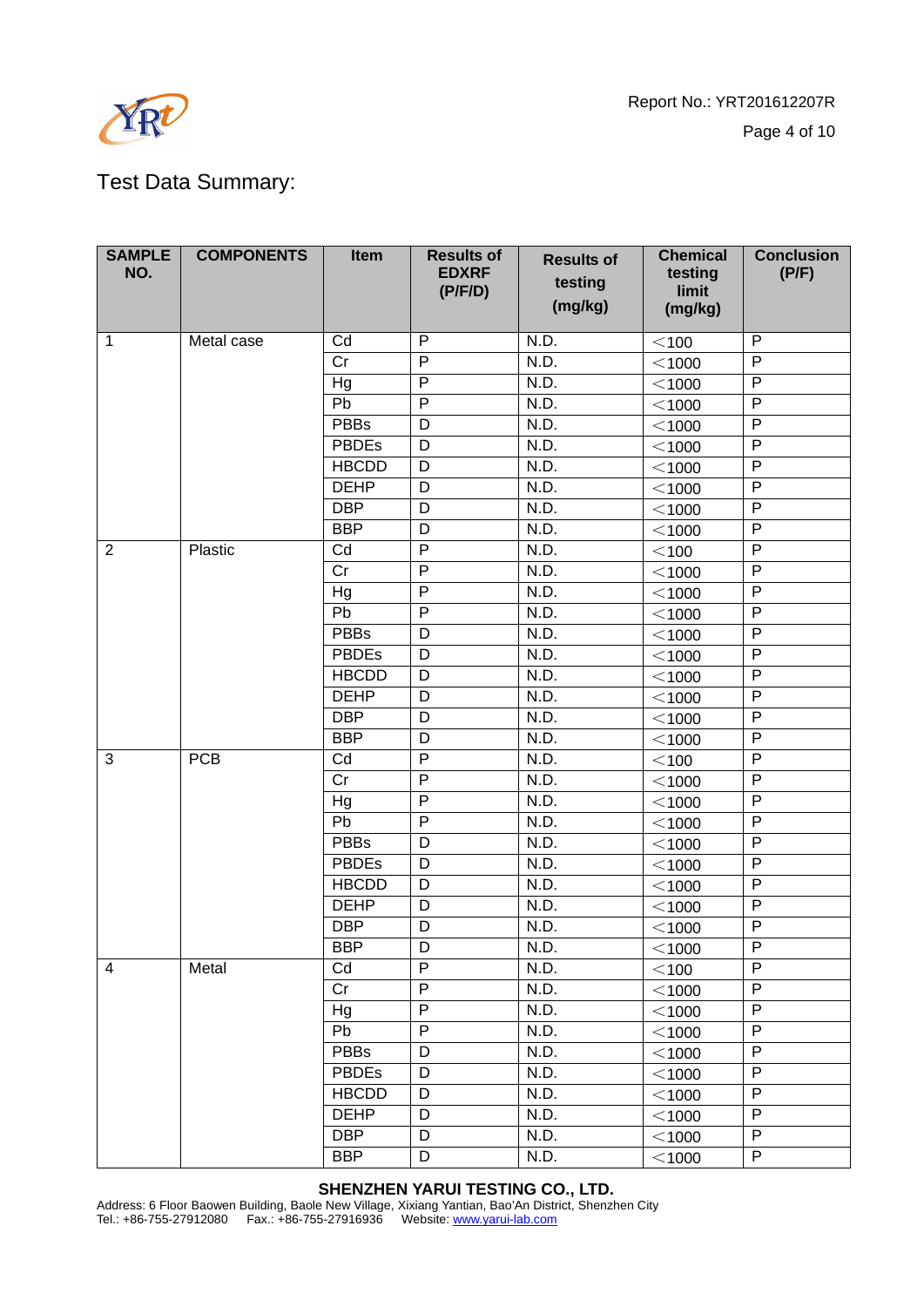

Report No.: YRT201612207R Page 4 of 10

# Test Data Summary:

| <b>SAMPLE</b><br>NO. | <b>COMPONENTS</b> | <b>Item</b>            | <b>Results of</b><br><b>EDXRF</b><br>(P/F/D) | <b>Results of</b><br>testing<br>(mg/kg) | <b>Chemical</b><br>testing<br>limit<br>(mg/kg) | <b>Conclusion</b><br>(P/F) |
|----------------------|-------------------|------------------------|----------------------------------------------|-----------------------------------------|------------------------------------------------|----------------------------|
| $\mathbf{1}$         | Metal case        | Cd                     | $\mathsf{P}$                                 | N.D.                                    | $<$ 100                                        | $\mathsf{P}$               |
|                      |                   | Cr                     | $\mathsf{P}$                                 | N.D.                                    | $<$ 1000                                       | P                          |
|                      |                   | Hg                     | $\mathsf{P}$                                 | N.D.                                    | $<$ 1000                                       | P                          |
|                      |                   | Pb                     | $\overline{P}$                               | N.D.                                    | $<$ 1000                                       | P                          |
|                      |                   | <b>PBBs</b>            | D                                            | N.D.                                    | $<$ 1000                                       | $\overline{P}$             |
|                      |                   | <b>PBDEs</b>           | D                                            | N.D.                                    | $<$ 1000                                       | P                          |
|                      |                   | <b>HBCDD</b>           | D                                            | N.D.                                    | $<$ 1000                                       | P                          |
|                      |                   | <b>DEHP</b>            | D                                            | N.D.                                    | $<$ 1000                                       | P                          |
|                      |                   | <b>DBP</b>             | D                                            | N.D.                                    | $<$ 1000                                       | $\overline{P}$             |
|                      |                   | <b>BBP</b>             | D                                            | N.D.                                    | $<$ 1000                                       | P                          |
| 2                    | Plastic           | Cd                     | $\mathsf{P}$                                 | N.D.                                    | $<$ 100                                        | P                          |
|                      |                   | $\overline{\text{Cr}}$ | $\overline{P}$                               | N.D.                                    | $<$ 1000                                       | $\overline{P}$             |
|                      |                   | Hg                     | $\mathsf{P}$                                 | N.D.                                    | $<$ 1000                                       | P                          |
|                      |                   | Pb                     | $\mathsf{P}$                                 | N.D.                                    | $<$ 1000                                       | P                          |
|                      |                   | <b>PBBs</b>            | D                                            | N.D.                                    | $<$ 1000                                       | $\mathsf{P}$               |
|                      |                   | <b>PBDEs</b>           | D                                            | N.D.                                    | $<$ 1000                                       | P                          |
|                      |                   | <b>HBCDD</b>           | D                                            | N.D.                                    | $<$ 1000                                       | ${\sf P}$                  |
|                      |                   | <b>DEHP</b>            | D                                            | N.D.                                    | $<$ 1000                                       | $\mathsf{P}$               |
|                      |                   | <b>DBP</b>             | D                                            | N.D.                                    | $<$ 1000                                       | P                          |
|                      |                   | <b>BBP</b>             | D                                            | N.D.                                    | $<$ 1000                                       | $\overline{P}$             |
| 3                    | <b>PCB</b>        | Cd                     | $\overline{P}$                               | N.D.                                    | $<$ 100                                        | $\overline{P}$             |
|                      |                   | Cr                     | $\mathsf{P}$                                 | N.D.                                    | $<$ 1000                                       | P                          |
|                      |                   | Hg                     | $\mathsf{P}$                                 | N.D.                                    | $<$ 1000                                       | P                          |
|                      |                   | Pb                     | $\mathsf{P}$                                 | N.D.                                    | $<$ 1000                                       | $\overline{P}$             |
|                      |                   | <b>PBBs</b>            | D                                            | N.D.                                    | $<$ 1000                                       | $\overline{P}$             |
|                      |                   | <b>PBDEs</b>           | D                                            | N.D.                                    | $<$ 1000                                       | P                          |
|                      |                   | <b>HBCDD</b>           | D                                            | N.D.                                    | $<$ 1000                                       | P                          |
|                      |                   | <b>DEHP</b>            | D                                            | N.D.                                    | $<$ 1000                                       | P                          |
|                      |                   | <b>DBP</b>             | D                                            | N.D.                                    | $<$ 1000                                       | P                          |
|                      |                   | <b>BBP</b>             | D                                            | N.D.                                    | $<$ 1000                                       | P                          |
| 4                    | Metal             | Cd                     | P                                            | N.D.                                    | $<$ 100                                        | P                          |
|                      |                   | Cr                     | $\mathsf{P}$                                 | N.D.                                    | $<$ 1000                                       | P                          |
|                      |                   | Hg                     | $\overline{P}$                               | N.D.                                    | $<$ 1000                                       | $\overline{P}$             |
|                      |                   | Pb                     | $\mathsf{P}$                                 | N.D.                                    | $<$ 1000                                       | P                          |
|                      |                   | <b>PBBs</b>            | D                                            | N.D.                                    | $<$ 1000                                       | P                          |
|                      |                   | <b>PBDEs</b>           | D                                            | N.D.                                    | $<$ 1000                                       | P                          |
|                      |                   | <b>HBCDD</b>           | D                                            | N.D.                                    | $<$ 1000                                       | $\overline{P}$             |
|                      |                   | <b>DEHP</b>            | D                                            | N.D.                                    | $<$ 1000                                       | P                          |
|                      |                   | <b>DBP</b>             | D                                            | N.D.                                    | $<$ 1000                                       | P                          |
|                      |                   | <b>BBP</b>             | D                                            | N.D.                                    | $<$ 1000                                       | P                          |

**SHENZHEN YARUI TESTING CO., LTD.** 

Address: 6 Floor Baowen Building, Baole New Village, Xixiang Yantian, Bao'An District, Shenzhen City Tel.: +86-755-27912080 Fax.: +86-755-27916936 Website: www.yarui-lab.com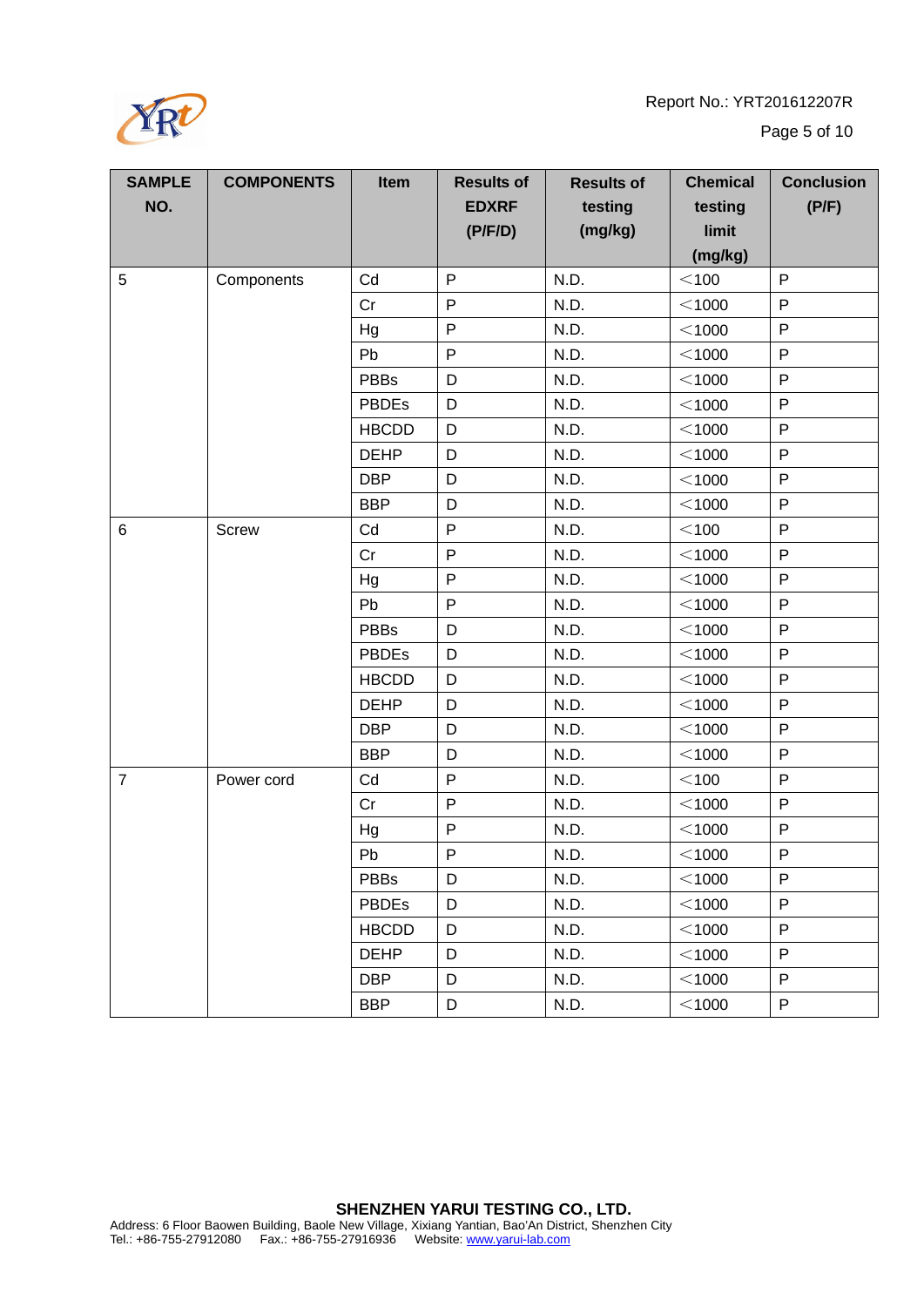Report No.: YRT201612207R



Page 5 of 10

| <b>SAMPLE</b>  | <b>COMPONENTS</b> | Item         | <b>Results of</b> | <b>Results of</b> | <b>Chemical</b> | <b>Conclusion</b> |
|----------------|-------------------|--------------|-------------------|-------------------|-----------------|-------------------|
| NO.            |                   |              | <b>EDXRF</b>      | testing           | testing         | (P/F)             |
|                |                   |              | (P/F/D)           | (mg/kg)           | limit           |                   |
|                |                   |              |                   |                   | (mg/kg)         |                   |
| 5              | Components        | Cd           | $\mathsf{P}$      | N.D.              | $<$ 100         | P                 |
|                |                   | Cr           | P                 | N.D.              | $<$ 1000        | P                 |
|                |                   | Hg           | $\mathsf{P}$      | N.D.              | $<$ 1000        | $\mathsf{P}$      |
|                |                   | Pb           | P                 | N.D.              | $<$ 1000        | $\mathsf{P}$      |
|                |                   | <b>PBBs</b>  | D                 | N.D.              | $<$ 1000        | $\mathsf{P}$      |
|                |                   | <b>PBDEs</b> | D                 | N.D.              | $<$ 1000        | $\mathsf{P}$      |
|                |                   | <b>HBCDD</b> | D                 | N.D.              | $<$ 1000        | $\mathsf{P}$      |
|                |                   | <b>DEHP</b>  | D                 | N.D.              | $<$ 1000        | P                 |
|                |                   | <b>DBP</b>   | D                 | N.D.              | $<$ 1000        | $\mathsf{P}$      |
|                |                   | <b>BBP</b>   | D                 | N.D.              | $<$ 1000        | $\mathsf{P}$      |
| 6              | Screw             | Cd           | $\mathsf{P}$      | N.D.              | $<$ 100         | $\mathsf{P}$      |
|                |                   | Cr           | P                 | N.D.              | $<$ 1000        | $\mathsf{P}$      |
|                |                   | Hg           | P                 | N.D.              | $<$ 1000        | $\mathsf{P}$      |
|                |                   | Pb           | $\mathsf{P}$      | N.D.              | $<$ 1000        | $\mathsf{P}$      |
|                |                   | <b>PBBs</b>  | D                 | N.D.              | $<$ 1000        | P                 |
|                |                   | <b>PBDEs</b> | D                 | N.D.              | $<$ 1000        | $\mathsf{P}$      |
|                |                   | <b>HBCDD</b> | D                 | N.D.              | $<$ 1000        | $\mathsf{P}$      |
|                |                   | <b>DEHP</b>  | D                 | N.D.              | $<$ 1000        | P                 |
|                |                   | <b>DBP</b>   | D                 | N.D.              | $<$ 1000        | $\mathsf{P}$      |
|                |                   | <b>BBP</b>   | D                 | N.D.              | $<$ 1000        | P                 |
| $\overline{7}$ | Power cord        | Cd           | P                 | N.D.              | $<$ 100         | $\mathsf{P}$      |
|                |                   | Cr           | $\mathsf{P}$      | N.D.              | $<$ 1000        | $\mathsf{P}$      |
|                |                   | Hg           | $\mathsf{P}$      | N.D.              | $<$ 1000        | $\mathsf{P}$      |
|                |                   | Pb           | P                 | N.D.              | $<$ 1000        | $\mathsf{P}$      |
|                |                   | <b>PBBs</b>  | D                 | N.D.              | $<$ 1000        | $\mathsf{P}$      |
|                |                   | PBDEs        | D                 | N.D.              | $<$ 1000        | $\mathsf{P}$      |
|                |                   | <b>HBCDD</b> | D                 | N.D.              | $<$ 1000        | $\mathsf{P}$      |
|                |                   | <b>DEHP</b>  | D                 | N.D.              | $<$ 1000        | $\mathsf{P}$      |
|                |                   | <b>DBP</b>   | D                 | N.D.              | $<$ 1000        | P                 |
|                |                   | <b>BBP</b>   | D                 | N.D.              | $<$ 1000        | $\sf P$           |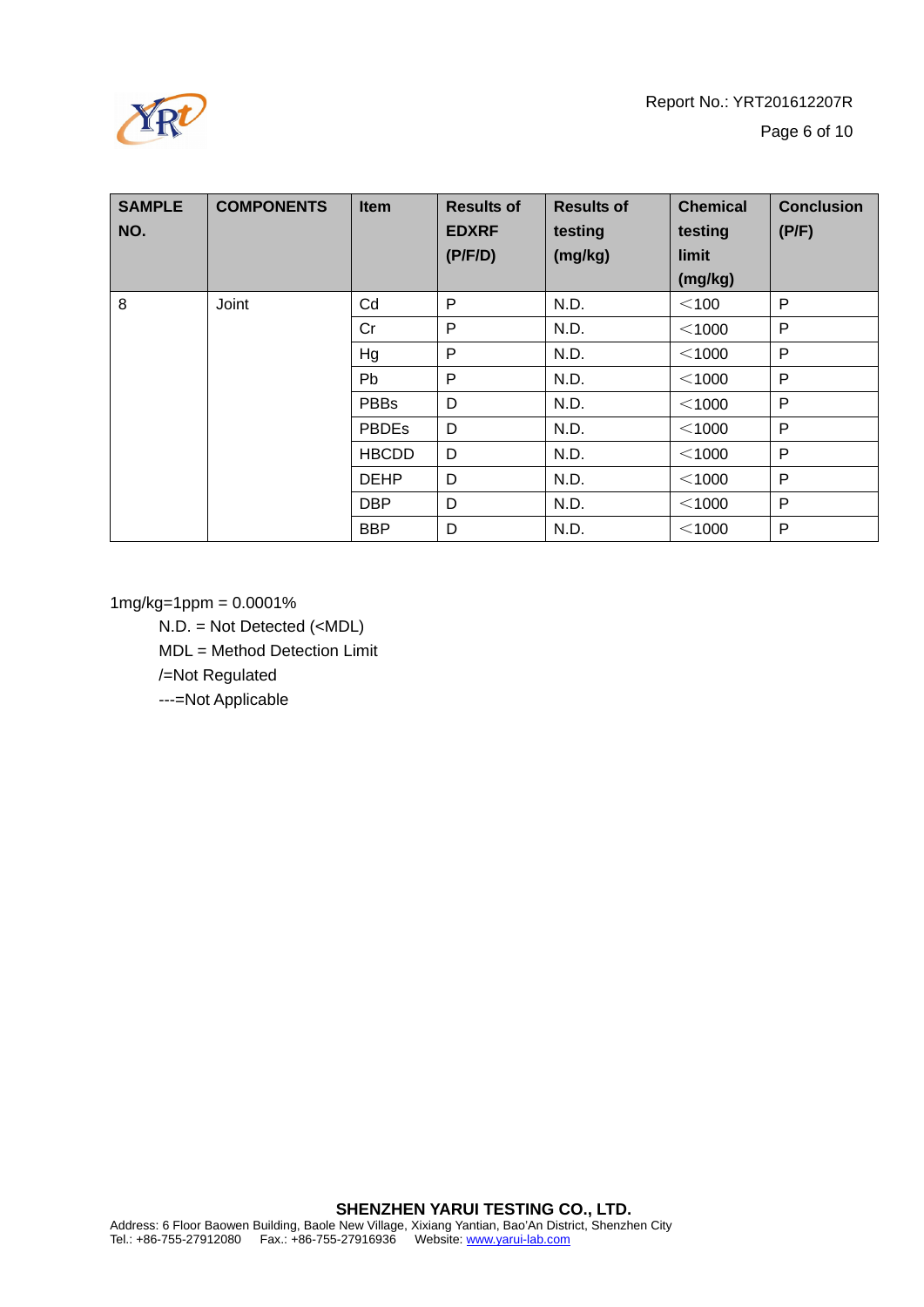

| <b>SAMPLE</b><br>NO. | <b>COMPONENTS</b> | <b>Item</b>  | <b>Results of</b><br><b>EDXRF</b><br>(P/F/D) | <b>Results of</b><br>testing<br>(mg/kg) | <b>Chemical</b><br>testing<br>limit<br>(mg/kg) | <b>Conclusion</b><br>(P/F) |
|----------------------|-------------------|--------------|----------------------------------------------|-----------------------------------------|------------------------------------------------|----------------------------|
| 8                    | Joint             | Cd           | P                                            | N.D.                                    | $<$ 100                                        | P                          |
|                      |                   | Cr           | P                                            | N.D.                                    | $<$ 1000                                       | P                          |
|                      |                   | Hg           | P                                            | N.D.                                    | $<$ 1000                                       | P                          |
|                      |                   | <b>Pb</b>    | P                                            | N.D.                                    | $<$ 1000                                       | P                          |
|                      |                   | <b>PBBs</b>  | D                                            | N.D.                                    | $<$ 1000                                       | P                          |
|                      |                   | <b>PBDEs</b> | D                                            | N.D.                                    | $<$ 1000                                       | P                          |
|                      |                   | <b>HBCDD</b> | D                                            | N.D.                                    | $<$ 1000                                       | P                          |
|                      |                   | <b>DEHP</b>  | D                                            | N.D.                                    | $<$ 1000                                       | P                          |
|                      |                   | <b>DBP</b>   | D                                            | N.D.                                    | $<$ 1000                                       | P                          |
|                      |                   | <b>BBP</b>   | D                                            | N.D.                                    | $<$ 1000                                       | P                          |

1mg/kg=1ppm = 0.0001%

N.D. = Not Detected (<MDL) MDL = Method Detection Limit /=Not Regulated

---=Not Applicable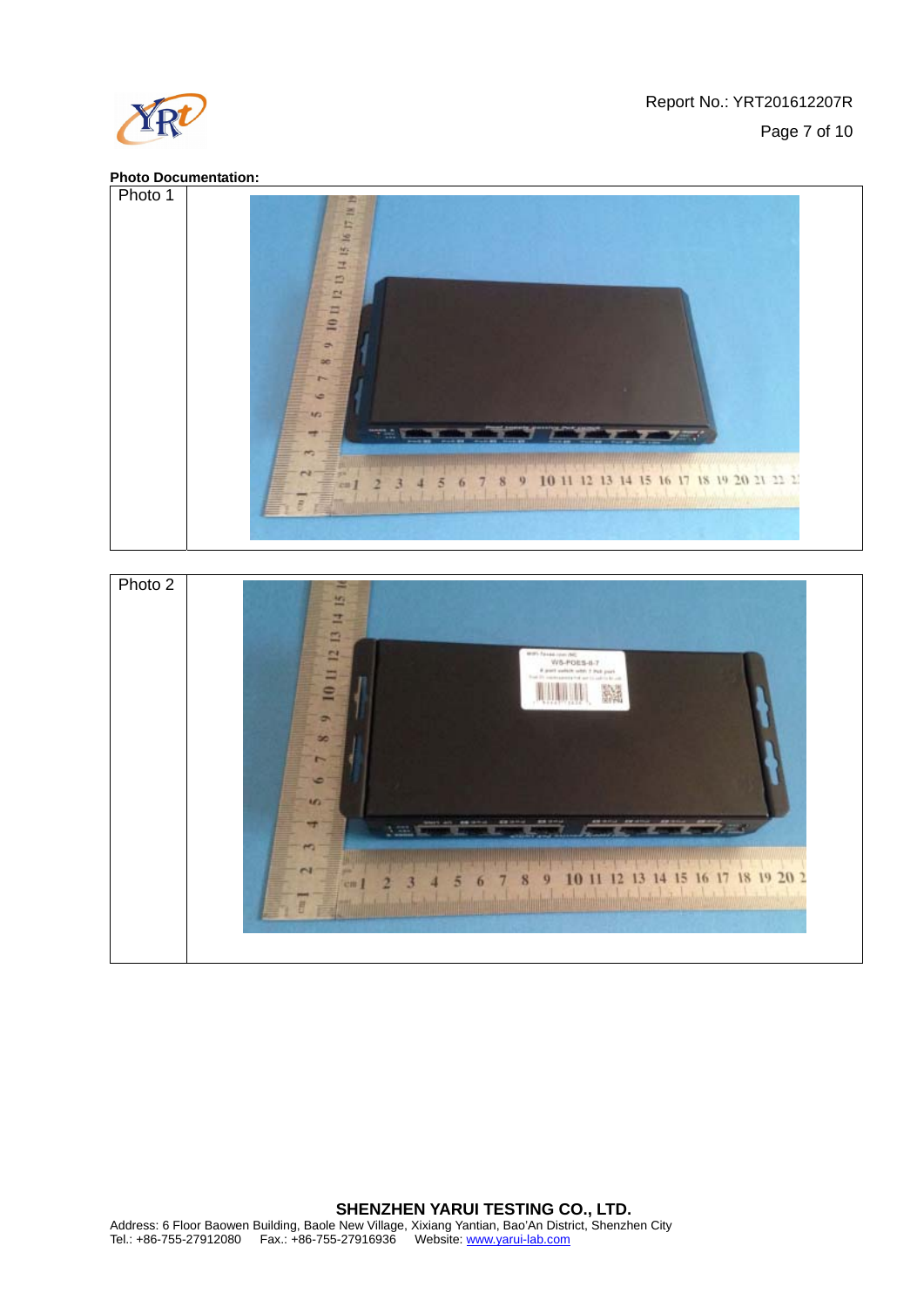

#### **Photo Documentation:**



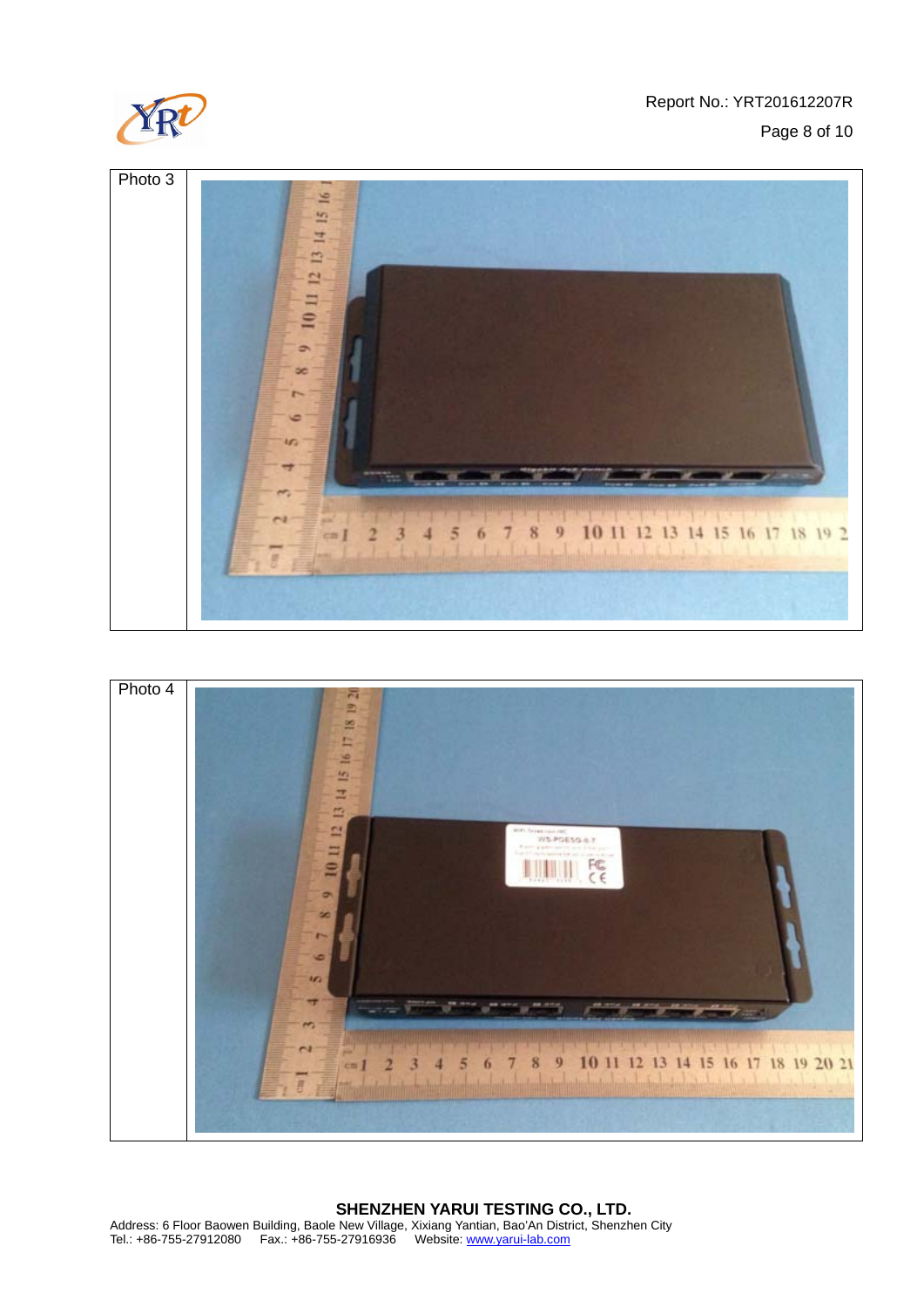







# **SHENZHEN YARUI TESTING CO., LTD.**

Address: 6 Floor Baowen Building, Baole New Village, Xixiang Yantian, Bao'An District, Shenzhen City Tel.: +86-755-27912080 Fax.: +86-755-27916936 Website: www.yarui-lab.com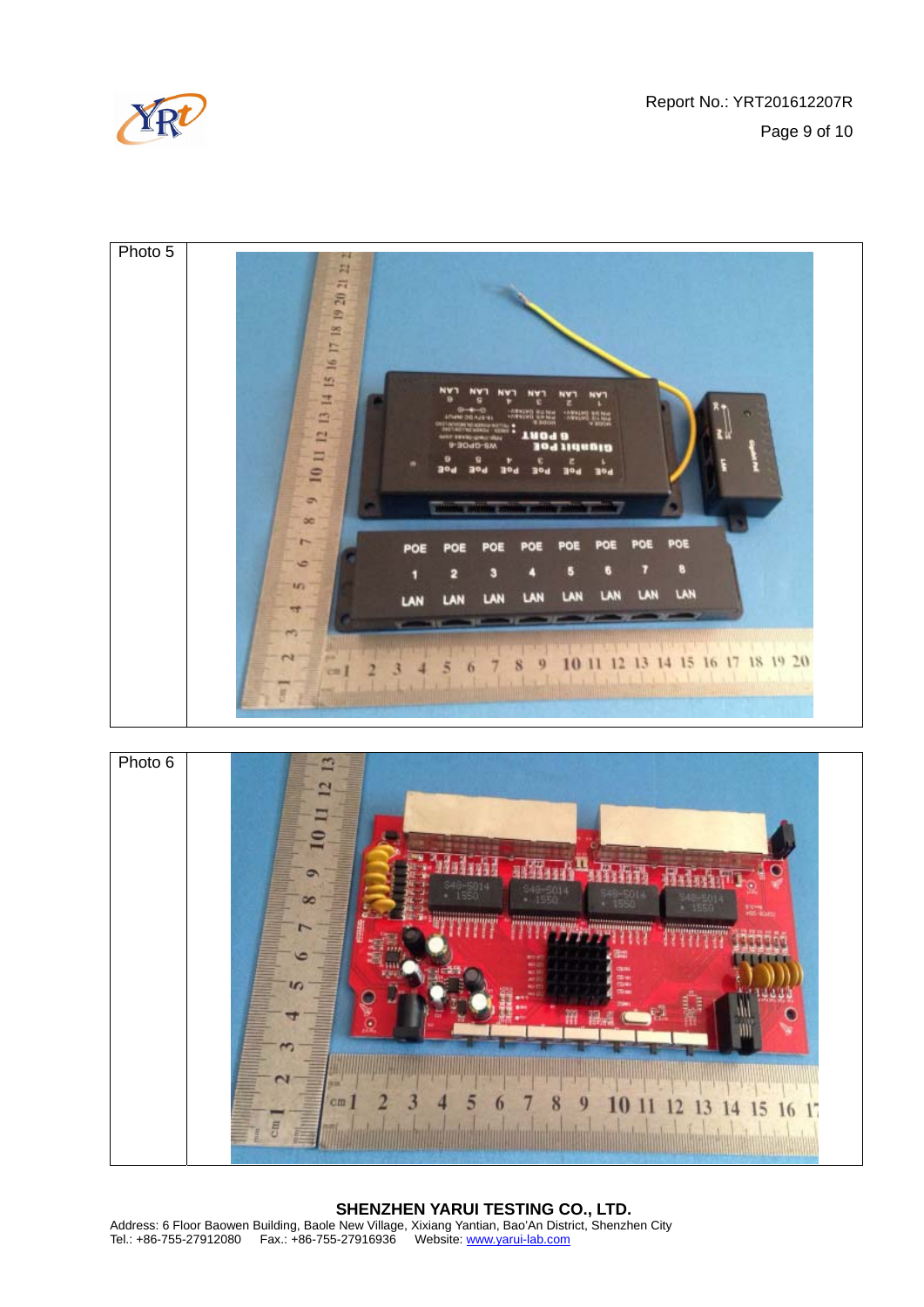





#### **SHENZHEN YARUI TESTING CO., LTD.**  Address: 6 Floor Baowen Building, Baole New Village, Xixiang Yantian, Bao'An District, Shenzhen City Tel.: +86-755-27912080 Fax.: +86-755-27916936 Website: www.yarui-lab.com